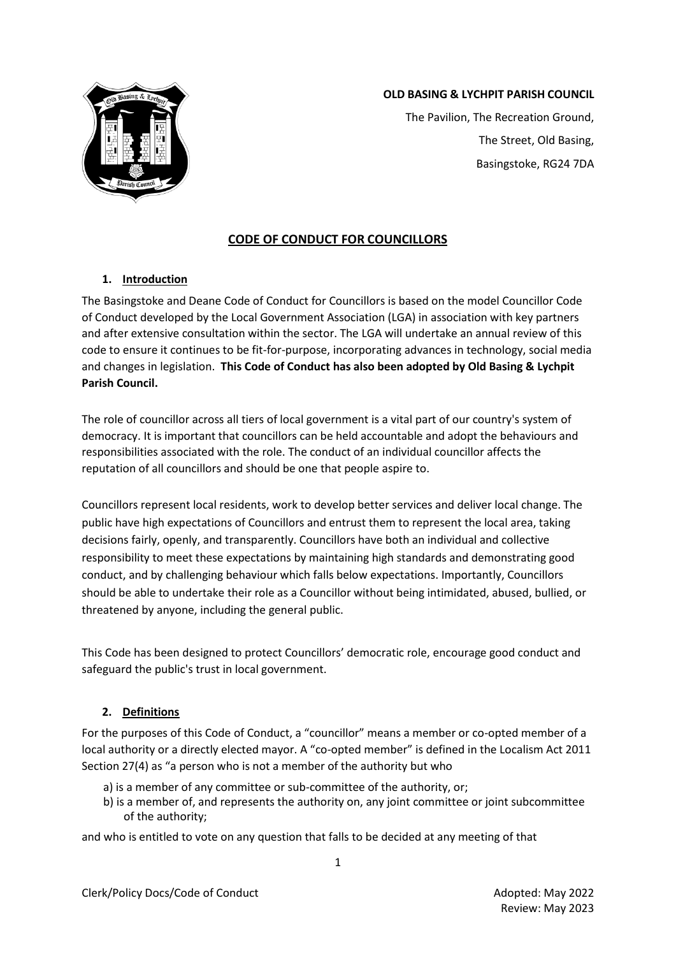

# **OLD BASING & LYCHPIT PARISH COUNCIL**

The Pavilion, The Recreation Ground, The Street, Old Basing, Basingstoke, RG24 7DA

# **CODE OF CONDUCT FOR COUNCILLORS**

# **1. Introduction**

The Basingstoke and Deane Code of Conduct for Councillors is based on the model Councillor Code of Conduct developed by the Local Government Association (LGA) in association with key partners and after extensive consultation within the sector. The LGA will undertake an annual review of this code to ensure it continues to be fit-for-purpose, incorporating advances in technology, social media and changes in legislation. **This Code of Conduct has also been adopted by Old Basing & Lychpit Parish Council.**

The role of councillor across all tiers of local government is a vital part of our country's system of democracy. It is important that councillors can be held accountable and adopt the behaviours and responsibilities associated with the role. The conduct of an individual councillor affects the reputation of all councillors and should be one that people aspire to.

Councillors represent local residents, work to develop better services and deliver local change. The public have high expectations of Councillors and entrust them to represent the local area, taking decisions fairly, openly, and transparently. Councillors have both an individual and collective responsibility to meet these expectations by maintaining high standards and demonstrating good conduct, and by challenging behaviour which falls below expectations. Importantly, Councillors should be able to undertake their role as a Councillor without being intimidated, abused, bullied, or threatened by anyone, including the general public.

This Code has been designed to protect Councillors' democratic role, encourage good conduct and safeguard the public's trust in local government.

# **2. Definitions**

For the purposes of this Code of Conduct, a "councillor" means a member or co-opted member of a local authority or a directly elected mayor. A "co-opted member" is defined in the Localism Act 2011 Section 27(4) as "a person who is not a member of the authority but who

- a) is a member of any committee or sub-committee of the authority, or;
- b) is a member of, and represents the authority on, any joint committee or joint subcommittee of the authority;

and who is entitled to vote on any question that falls to be decided at any meeting of that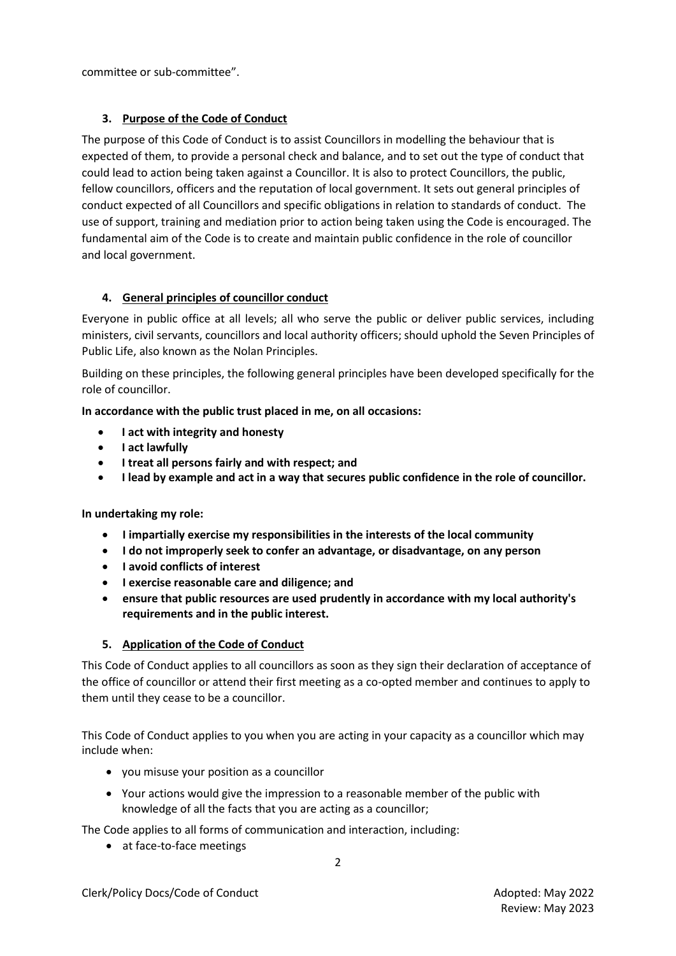committee or sub-committee".

# **3. Purpose of the Code of Conduct**

The purpose of this Code of Conduct is to assist Councillors in modelling the behaviour that is expected of them, to provide a personal check and balance, and to set out the type of conduct that could lead to action being taken against a Councillor. It is also to protect Councillors, the public, fellow councillors, officers and the reputation of local government. It sets out general principles of conduct expected of all Councillors and specific obligations in relation to standards of conduct. The use of support, training and mediation prior to action being taken using the Code is encouraged. The fundamental aim of the Code is to create and maintain public confidence in the role of councillor and local government.

# **4. General principles of councillor conduct**

Everyone in public office at all levels; all who serve the public or deliver public services, including ministers, civil servants, councillors and local authority officers; should uphold t[he Seven Principles of](https://www.gov.uk/government/publications/the-7-principles-of-public-life/the-7-principles-of-public-life--2)  [Public Life, a](https://www.gov.uk/government/publications/the-7-principles-of-public-life/the-7-principles-of-public-life--2)lso known as the Nolan Principles.

Building on these principles, the following general principles have been developed specifically for the role of councillor.

**In accordance with the public trust placed in me, on all occasions:**

- **I act with integrity and honesty**
- **I act lawfully**
- **I treat all persons fairly and with respect; and**
- **I lead by example and act in a way that secures public confidence in the role of councillor.**

### **In undertaking my role:**

- **I impartially exercise my responsibilities in the interests of the local community**
- **I do not improperly seek to confer an advantage, or disadvantage, on any person**
- **I avoid conflicts of interest**
- **I exercise reasonable care and diligence; and**
- **ensure that public resources are used prudently in accordance with my local authority's requirements and in the public interest.**

# **5. Application of the Code of Conduct**

This Code of Conduct applies to all councillors as soon as they sign their declaration of acceptance of the office of councillor or attend their first meeting as a co-opted member and continues to apply to them until they cease to be a councillor.

This Code of Conduct applies to you when you are acting in your capacity as a councillor which may include when:

- you misuse your position as a councillor
- Your actions would give the impression to a reasonable member of the public with knowledge of all the facts that you are acting as a councillor;

The Code applies to all forms of communication and interaction, including:

• at face-to-face meetings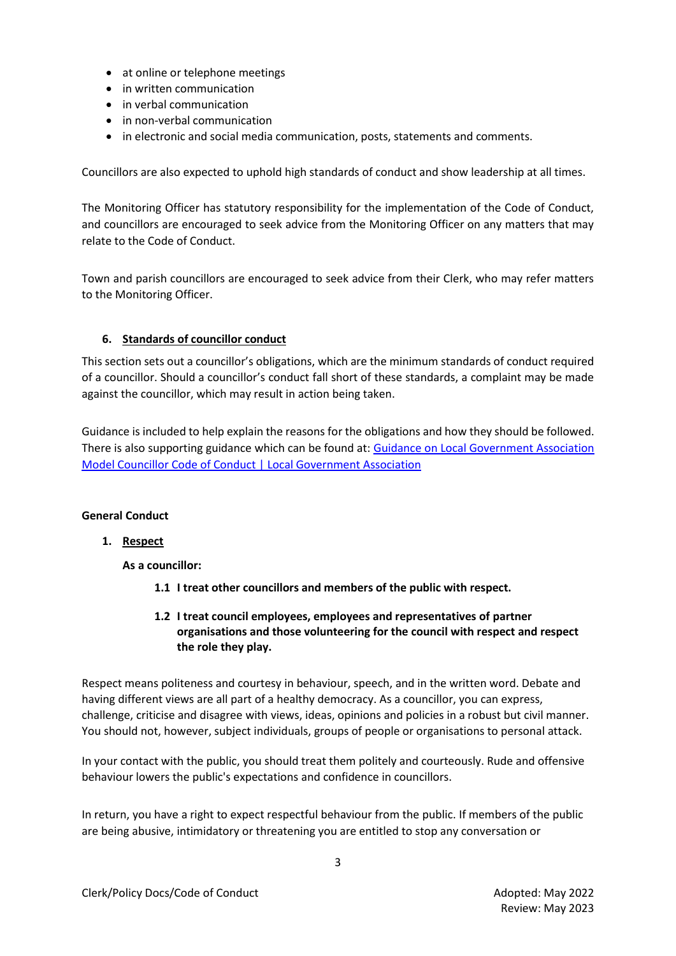- at online or telephone meetings
- in written communication
- in verbal communication
- in non-verbal communication
- in electronic and social media communication, posts, statements and comments.

Councillors are also expected to uphold high standards of conduct and show leadership at all times.

The Monitoring Officer has statutory responsibility for the implementation of the Code of Conduct, and councillors are encouraged to seek advice from the Monitoring Officer on any matters that may relate to the Code of Conduct.

Town and parish councillors are encouraged to seek advice from their Clerk, who may refer matters to the Monitoring Officer.

# **6. Standards of councillor conduct**

This section sets out a councillor's obligations, which are the minimum standards of conduct required of a councillor. Should a councillor's conduct fall short of these standards, a complaint may be made against the councillor, which may result in action being taken.

Guidance is included to help explain the reasons for the obligations and how they should be followed. There is also supporting guidance which can be found at: [Guidance on Local Government Association](https://local.gov.uk/publications/guidance-local-government-association-model-councillor-code-conduct)  [Model Councillor Code of Conduct | Local Government Association](https://local.gov.uk/publications/guidance-local-government-association-model-councillor-code-conduct)

### **General Conduct**

### **1. Respect**

**As a councillor:**

- **1.1 I treat other councillors and members of the public with respect.**
- **1.2 I treat council employees, employees and representatives of partner organisations and those volunteering for the council with respect and respect the role they play.**

Respect means politeness and courtesy in behaviour, speech, and in the written word. Debate and having different views are all part of a healthy democracy. As a councillor, you can express, challenge, criticise and disagree with views, ideas, opinions and policies in a robust but civil manner. You should not, however, subject individuals, groups of people or organisations to personal attack.

In your contact with the public, you should treat them politely and courteously. Rude and offensive behaviour lowers the public's expectations and confidence in councillors.

In return, you have a right to expect respectful behaviour from the public. If members of the public are being abusive, intimidatory or threatening you are entitled to stop any conversation or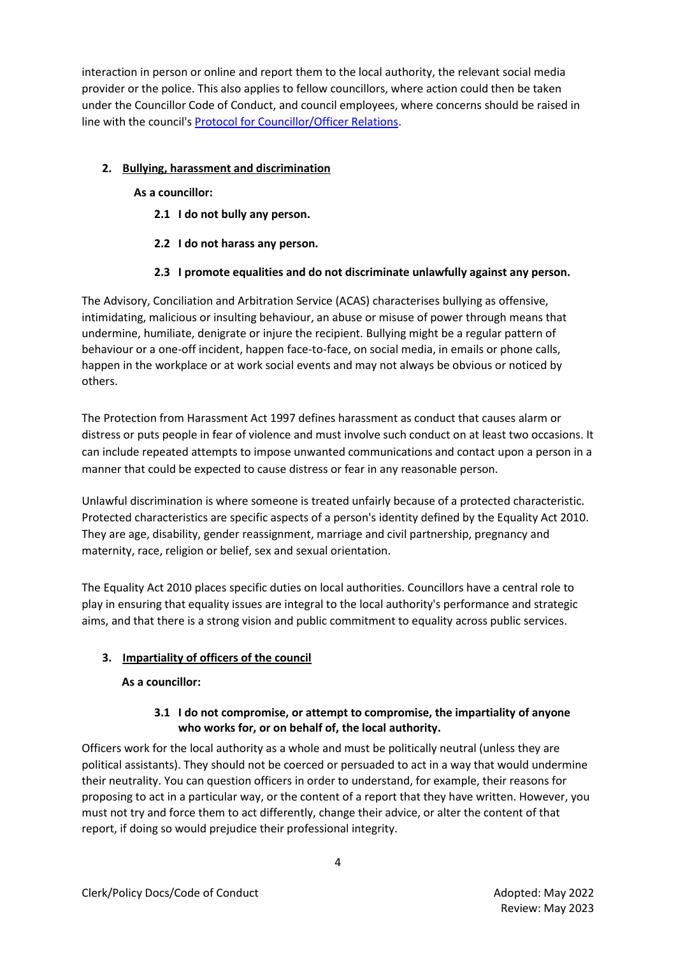interaction in person or online and report them to the local authority, the relevant social media provider or the police. This also applies to fellow councillors, where action could then be taken under the Councillor Code of Conduct, and council employees, where concerns should be raised in line with the council'[s Protocol for Councillor/Officer Relations.](https://www.basingstoke.gov.uk/content/page/58673/Part%205%20-%20Codes%20and%20Protocols.pdf)

# **2. Bullying, harassment and discrimination**

# **As a councillor:**

- **2.1 I do not bully any person.**
- **2.2 I do not harass any person.**

# **2.3 I promote equalities and do not discriminate unlawfully against any person.**

The Advisory, Conciliation and Arbitration Service (ACAS) characterises bullying as offensive, intimidating, malicious or insulting behaviour, an abuse or misuse of power through means that undermine, humiliate, denigrate or injure the recipient. Bullying might be a regular pattern of behaviour or a one-off incident, happen face-to-face, on social media, in emails or phone calls, happen in the workplace or at work social events and may not always be obvious or noticed by others.

The Protection from Harassment Act 1997 defines harassment as conduct that causes alarm or distress or puts people in fear of violence and must involve such conduct on at least two occasions. It can include repeated attempts to impose unwanted communications and contact upon a person in a manner that could be expected to cause distress or fear in any reasonable person.

Unlawful discrimination is where someone is treated unfairly because of a protected characteristic. Protected characteristics are specific aspects of a person's identity defined by the Equality Act 2010. They are age, disability, gender reassignment, marriage and civil partnership, pregnancy and maternity, race, religion or belief, sex and sexual orientation.

The Equality Act 2010 places specific duties on local authorities. Councillors have a central role to play in ensuring that equality issues are integral to the local authority's performance and strategic aims, and that there is a strong vision and public commitment to equality across public services.

# **3. Impartiality of officers of the council**

# **As a councillor:**

# **3.1 I do not compromise, or attempt to compromise, the impartiality of anyone who works for, or on behalf of, the local authority.**

Officers work for the local authority as a whole and must be politically neutral (unless they are political assistants). They should not be coerced or persuaded to act in a way that would undermine their neutrality. You can question officers in order to understand, for example, their reasons for proposing to act in a particular way, or the content of a report that they have written. However, you must not try and force them to act differently, change their advice, or alter the content of that report, if doing so would prejudice their professional integrity.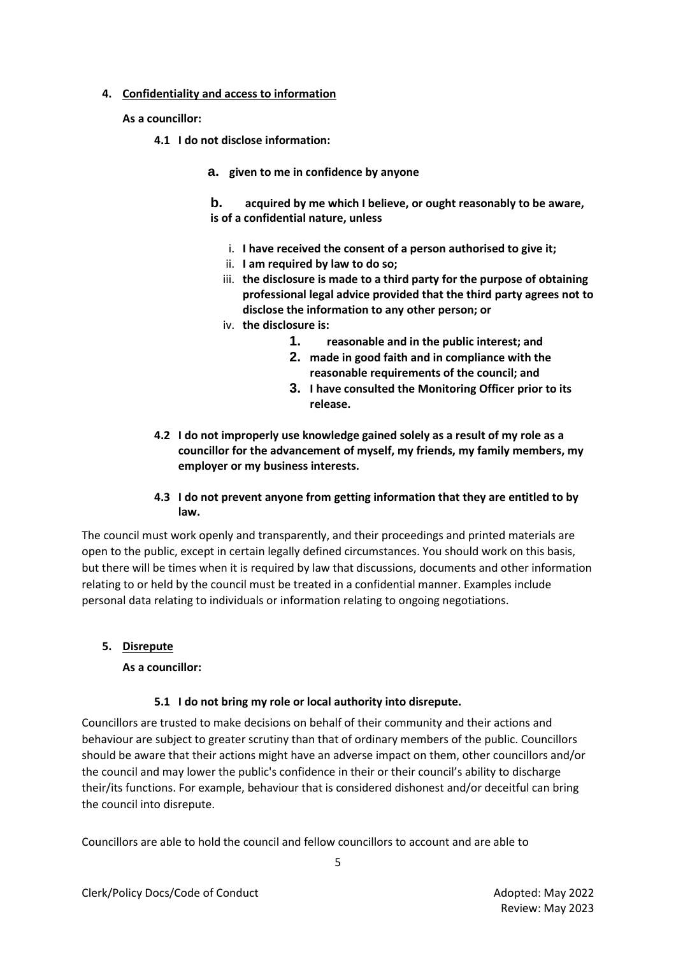### **4. Confidentiality and access to information**

**As a councillor:**

- **4.1 I do not disclose information:**
	- **a. given to me in confidence by anyone**

**b. acquired by me which I believe, or ought reasonably to be aware, is of a confidential nature, unless**

- i. **I have received the consent of a person authorised to give it;**
- ii. **I am required by law to do so;**
- iii. **the disclosure is made to a third party for the purpose of obtaining professional legal advice provided that the third party agrees not to disclose the information to any other person; or**
- iv. **the disclosure is:**
	- **1. reasonable and in the public interest; and**
	- **2. made in good faith and in compliance with the reasonable requirements of the council; and**
	- **3. I have consulted the Monitoring Officer prior to its release.**
- **4.2 I do not improperly use knowledge gained solely as a result of my role as a councillor for the advancement of myself, my friends, my family members, my employer or my business interests.**

### **4.3 I do not prevent anyone from getting information that they are entitled to by law.**

The council must work openly and transparently, and their proceedings and printed materials are open to the public, except in certain legally defined circumstances. You should work on this basis, but there will be times when it is required by law that discussions, documents and other information relating to or held by the council must be treated in a confidential manner. Examples include personal data relating to individuals or information relating to ongoing negotiations.

### **5. Disrepute**

#### **As a councillor:**

#### **5.1 I do not bring my role or local authority into disrepute.**

Councillors are trusted to make decisions on behalf of their community and their actions and behaviour are subject to greater scrutiny than that of ordinary members of the public. Councillors should be aware that their actions might have an adverse impact on them, other councillors and/or the council and may lower the public's confidence in their or their council's ability to discharge their/its functions. For example, behaviour that is considered dishonest and/or deceitful can bring the council into disrepute.

Councillors are able to hold the council and fellow councillors to account and are able to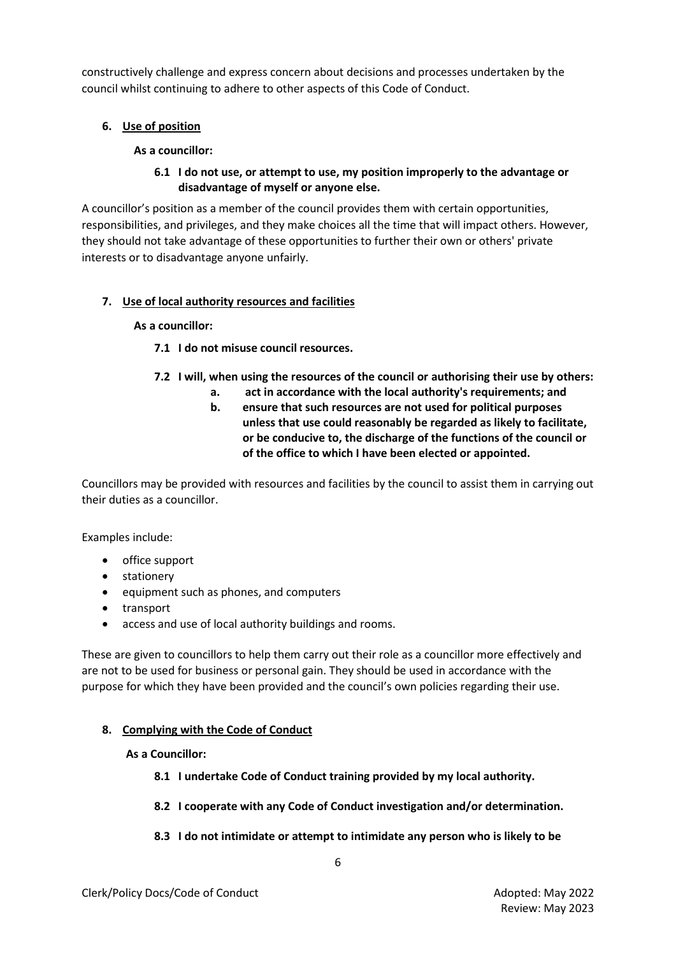constructively challenge and express concern about decisions and processes undertaken by the council whilst continuing to adhere to other aspects of this Code of Conduct.

# **6. Use of position**

### **As a councillor:**

## **6.1 I do not use, or attempt to use, my position improperly to the advantage or disadvantage of myself or anyone else.**

A councillor's position as a member of the council provides them with certain opportunities, responsibilities, and privileges, and they make choices all the time that will impact others. However, they should not take advantage of these opportunities to further their own or others' private interests or to disadvantage anyone unfairly.

### **7. Use of local authority resources and facilities**

### **As a councillor:**

### **7.1 I do not misuse council resources.**

- **7.2 I will, when using the resources of the council or authorising their use by others:**
	- **a. act in accordance with the local authority's requirements; and**
		- **b. ensure that such resources are not used for political purposes unless that use could reasonably be regarded as likely to facilitate, or be conducive to, the discharge of the functions of the council or of the office to which I have been elected or appointed.**

Councillors may be provided with resources and facilities by the council to assist them in carrying out their duties as a councillor.

Examples include:

- office support
- stationery
- equipment such as phones, and computers
- transport
- access and use of local authority buildings and rooms.

These are given to councillors to help them carry out their role as a councillor more effectively and are not to be used for business or personal gain. They should be used in accordance with the purpose for which they have been provided and the council's own policies regarding their use.

### **8. Complying with the Code of Conduct**

#### **As a Councillor:**

- **8.1 I undertake Code of Conduct training provided by my local authority.**
- **8.2 I cooperate with any Code of Conduct investigation and/or determination.**

#### **8.3 I do not intimidate or attempt to intimidate any person who is likely to be**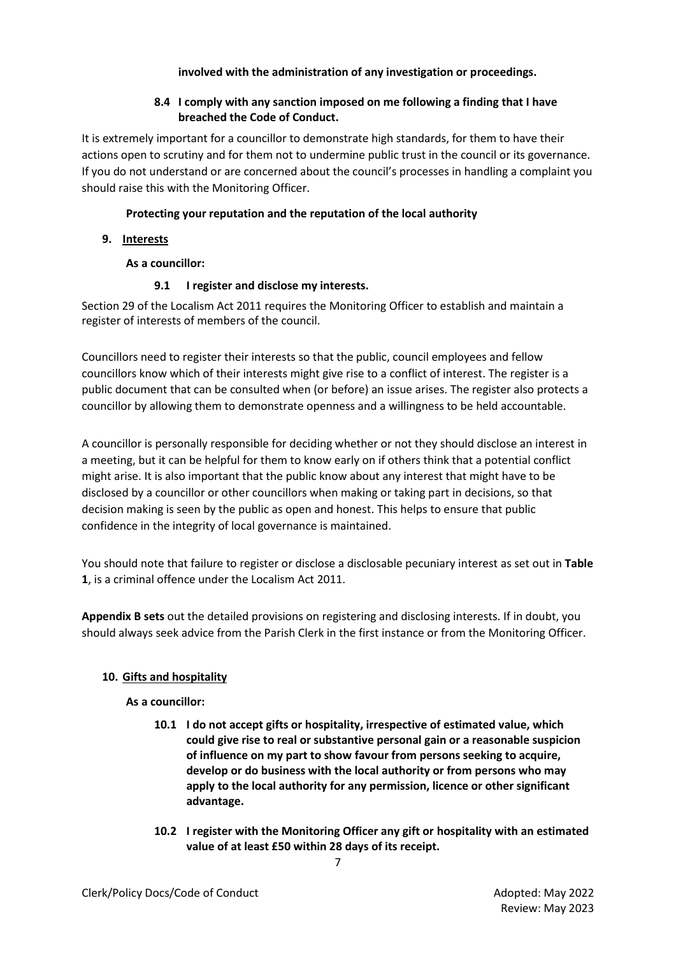### **involved with the administration of any investigation or proceedings.**

## **8.4 I comply with any sanction imposed on me following a finding that I have breached the Code of Conduct.**

It is extremely important for a councillor to demonstrate high standards, for them to have their actions open to scrutiny and for them not to undermine public trust in the council or its governance. If you do not understand or are concerned about the council's processes in handling a complaint you should raise this with the Monitoring Officer.

# **Protecting your reputation and the reputation of the local authority**

**9. Interests**

# **As a councillor:**

# **9.1 I register and disclose my interests.**

Section 29 of the Localism Act 2011 requires the Monitoring Officer to establish and maintain a register of interests of members of the council.

Councillors need to register their interests so that the public, council employees and fellow councillors know which of their interests might give rise to a conflict of interest. The register is a public document that can be consulted when (or before) an issue arises. The register also protects a councillor by allowing them to demonstrate openness and a willingness to be held accountable.

A councillor is personally responsible for deciding whether or not they should disclose an interest in a meeting, but it can be helpful for them to know early on if others think that a potential conflict might arise. It is also important that the public know about any interest that might have to be disclosed by a councillor or other councillors when making or taking part in decisions, so that decision making is seen by the public as open and honest. This helps to ensure that public confidence in the integrity of local governance is maintained.

You should note that failure to register or disclose a disclosable pecuniary interest as set out in **Table 1**, is a criminal offence under the Localism Act 2011.

**Appendix B sets** out the detailed provisions on registering and disclosing interests. If in doubt, you should always seek advice from the Parish Clerk in the first instance or from the Monitoring Officer.

### **10. Gifts and hospitality**

### **As a councillor:**

- **10.1 I do not accept gifts or hospitality, irrespective of estimated value, which could give rise to real or substantive personal gain or a reasonable suspicion of influence on my part to show favour from persons seeking to acquire, develop or do business with the local authority or from persons who may apply to the local authority for any permission, licence or other significant advantage.**
- **10.2 I register with the Monitoring Officer any gift or hospitality with an estimated value of at least £50 within 28 days of its receipt.**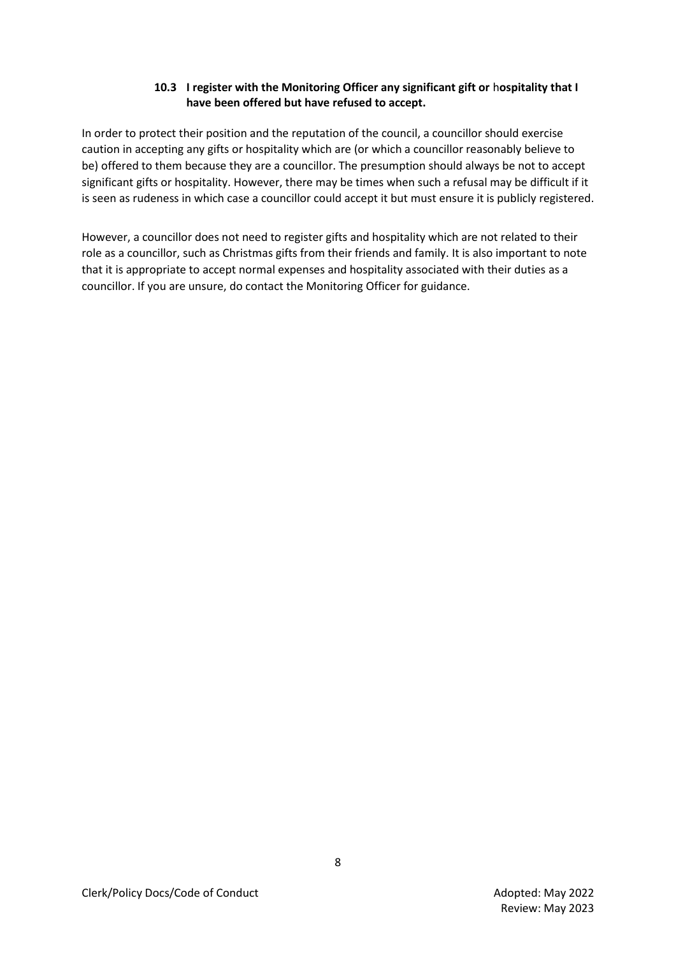### **10.3 I register with the Monitoring Officer any significant gift or** h**ospitality that I have been offered but have refused to accept.**

In order to protect their position and the reputation of the council, a councillor should exercise caution in accepting any gifts or hospitality which are (or which a councillor reasonably believe to be) offered to them because they are a councillor. The presumption should always be not to accept significant gifts or hospitality. However, there may be times when such a refusal may be difficult if it is seen as rudeness in which case a councillor could accept it but must ensure it is publicly registered.

However, a councillor does not need to register gifts and hospitality which are not related to their role as a councillor, such as Christmas gifts from their friends and family. It is also important to note that it is appropriate to accept normal expenses and hospitality associated with their duties as a councillor. If you are unsure, do contact the Monitoring Officer for guidance.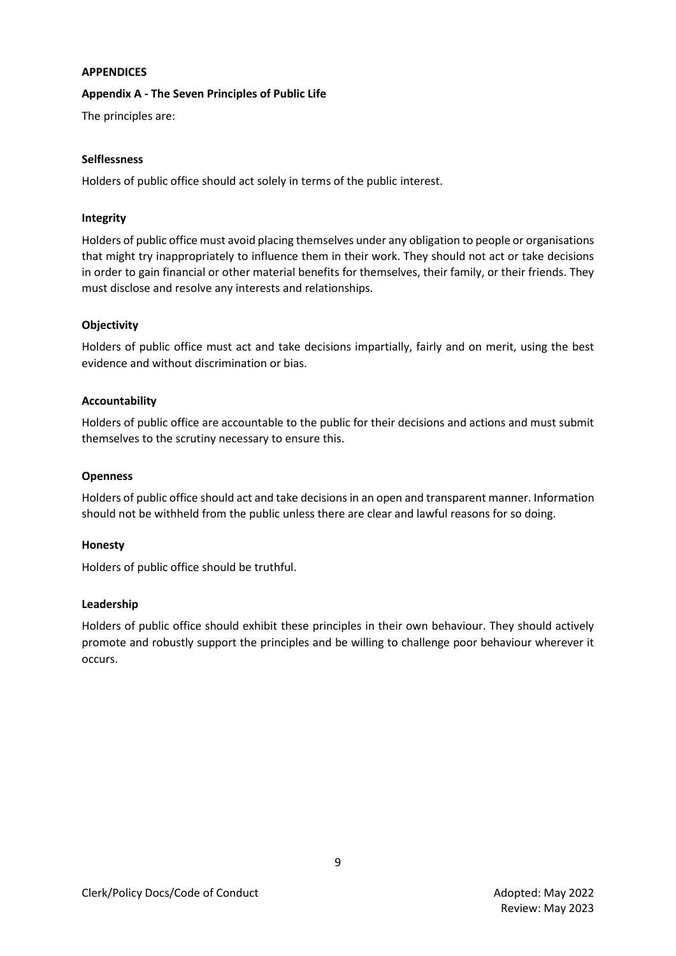#### **APPENDICES**

### **Appendix A - The Seven Principles of Public Life**

The principles are:

#### **Selflessness**

Holders of public office should act solely in terms of the public interest.

### **Integrity**

Holders of public office must avoid placing themselves under any obligation to people or organisations that might try inappropriately to influence them in their work. They should not act or take decisions in order to gain financial or other material benefits for themselves, their family, or their friends. They must disclose and resolve any interests and relationships.

### **Objectivity**

Holders of public office must act and take decisions impartially, fairly and on merit, using the best evidence and without discrimination or bias.

### **Accountability**

Holders of public office are accountable to the public for their decisions and actions and must submit themselves to the scrutiny necessary to ensure this.

### **Openness**

Holders of public office should act and take decisions in an open and transparent manner. Information should not be withheld from the public unless there are clear and lawful reasons for so doing.

#### **Honesty**

Holders of public office should be truthful.

#### **Leadership**

Holders of public office should exhibit these principles in their own behaviour. They should actively promote and robustly support the principles and be willing to challenge poor behaviour wherever it occurs.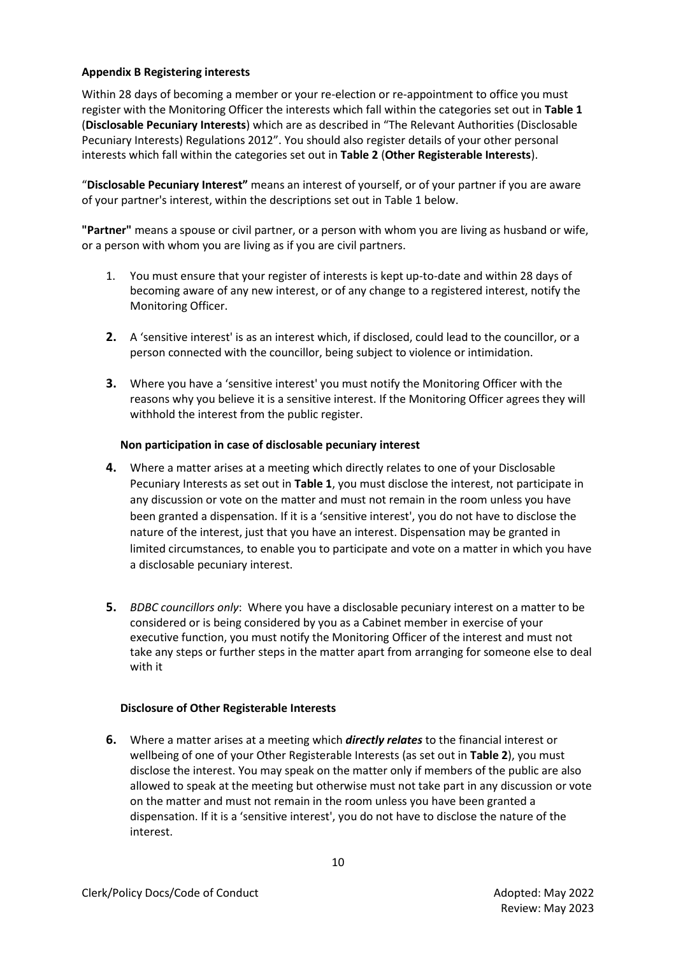### **Appendix B Registering interests**

Within 28 days of becoming a member or your re-election or re-appointment to office you must register with the Monitoring Officer the interests which fall within the categories set out in **Table 1**  (**Disclosable Pecuniary Interests**) which are as described in "The Relevant Authorities (Disclosable Pecuniary Interests) Regulations 2012". You should also register details of your other personal interests which fall within the categories set out in **Table 2** (**Other Registerable Interests**).

"**Disclosable Pecuniary Interest"** means an interest of yourself, or of your partner if you are aware of your partner's interest, within the descriptions set out in Table 1 below.

**"Partner"** means a spouse or civil partner, or a person with whom you are living as husband or wife, or a person with whom you are living as if you are civil partners.

- 1. You must ensure that your register of interests is kept up-to-date and within 28 days of becoming aware of any new interest, or of any change to a registered interest, notify the Monitoring Officer.
- **2.** A 'sensitive interest' is as an interest which, if disclosed, could lead to the councillor, or a person connected with the councillor, being subject to violence or intimidation.
- **3.** Where you have a 'sensitive interest' you must notify the Monitoring Officer with the reasons why you believe it is a sensitive interest. If the Monitoring Officer agrees they will withhold the interest from the public register.

### **Non participation in case of disclosable pecuniary interest**

- **4.** Where a matter arises at a meeting which directly relates to one of your Disclosable Pecuniary Interests as set out in **Table 1**, you must disclose the interest, not participate in any discussion or vote on the matter and must not remain in the room unless you have been granted a dispensation. If it is a 'sensitive interest', you do not have to disclose the nature of the interest, just that you have an interest. Dispensation may be granted in limited circumstances, to enable you to participate and vote on a matter in which you have a disclosable pecuniary interest.
- **5.** *BDBC councillors only*: Where you have a disclosable pecuniary interest on a matter to be considered or is being considered by you as a Cabinet member in exercise of your executive function, you must notify the Monitoring Officer of the interest and must not take any steps or further steps in the matter apart from arranging for someone else to deal with it

### **Disclosure of Other Registerable Interests**

**6.** Where a matter arises at a meeting which *directly relates* to the financial interest or wellbeing of one of your Other Registerable Interests (as set out in **Table 2**), you must disclose the interest. You may speak on the matter only if members of the public are also allowed to speak at the meeting but otherwise must not take part in any discussion or vote on the matter and must not remain in the room unless you have been granted a dispensation. If it is a 'sensitive interest', you do not have to disclose the nature of the interest.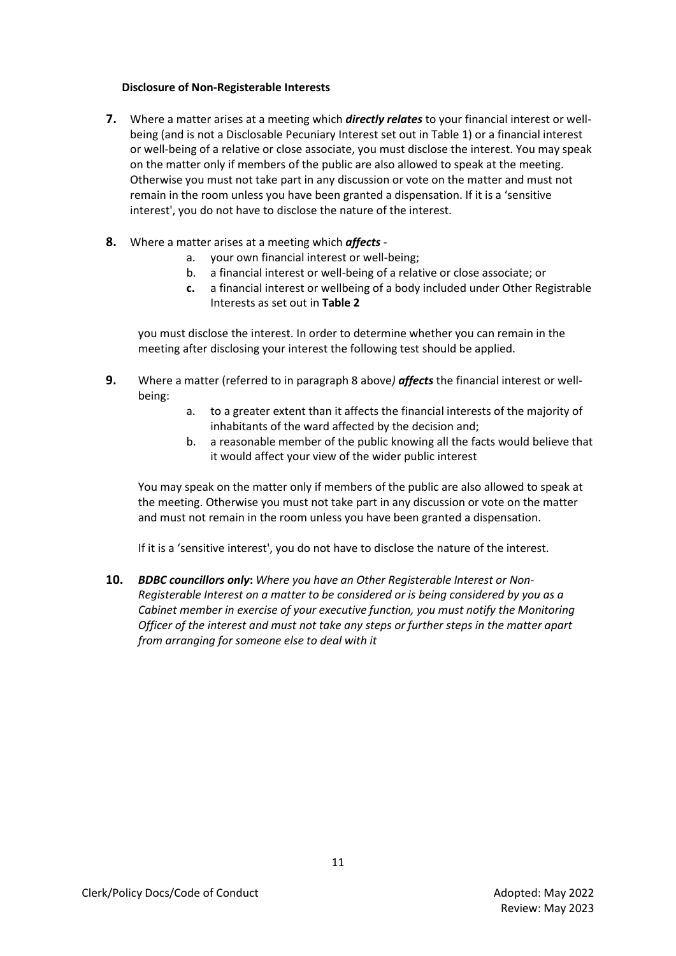### **Disclosure of Non-Registerable Interests**

- **7.** Where a matter arises at a meeting which *directly relates* to your financial interest or wellbeing (and is not a Disclosable Pecuniary Interest set out in Table 1) or a financial interest or well-being of a relative or close associate, you must disclose the interest. You may speak on the matter only if members of the public are also allowed to speak at the meeting. Otherwise you must not take part in any discussion or vote on the matter and must not remain in the room unless you have been granted a dispensation. If it is a 'sensitive interest', you do not have to disclose the nature of the interest.
- **8.** Where a matter arises at a meeting which *affects* 
	- a. your own financial interest or well-being;
	- b. a financial interest or well-being of a relative or close associate; or
	- **c.** a financial interest or wellbeing of a body included under Other Registrable Interests as set out in **Table 2**

you must disclose the interest. In order to determine whether you can remain in the meeting after disclosing your interest the following test should be applied.

- **9.** Where a matter (referred to in paragraph 8 above*) affects* the financial interest or wellbeing:
	- a. to a greater extent than it affects the financial interests of the majority of inhabitants of the ward affected by the decision and;
	- b. a reasonable member of the public knowing all the facts would believe that it would affect your view of the wider public interest

You may speak on the matter only if members of the public are also allowed to speak at the meeting. Otherwise you must not take part in any discussion or vote on the matter and must not remain in the room unless you have been granted a dispensation.

If it is a 'sensitive interest', you do not have to disclose the nature of the interest.

**10.** *BDBC councillors only***:** *Where you have an Other Registerable Interest or Non-Registerable Interest on a matter to be considered or is being considered by you as a Cabinet member in exercise of your executive function, you must notify the Monitoring Officer of the interest and must not take any steps or further steps in the matter apart from arranging for someone else to deal with it*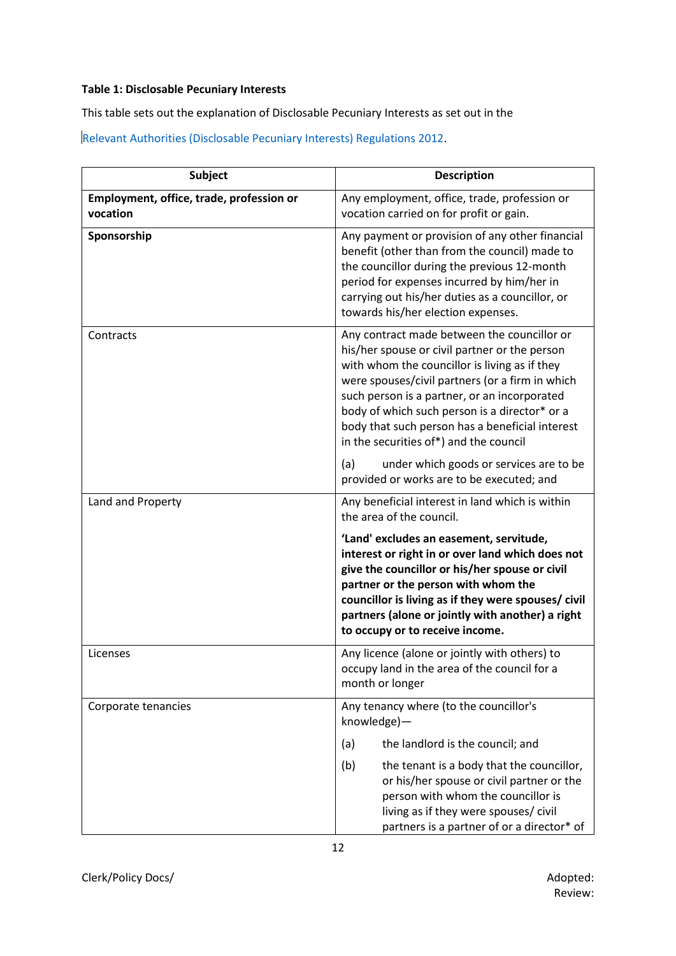### **Table 1: Disclosable Pecuniary Interests**

This table sets out the explanation of Disclosable Pecuniary Interests as set out in the

[Relevant Authorities \(Disclosable Pecuniary Interests\) Regulations 2012.](https://www.legislation.gov.uk/uksi/2012/1464/made)

| <b>Subject</b>                                       | <b>Description</b>                                                                                                                                                                                                                                                                                                                                                                             |  |
|------------------------------------------------------|------------------------------------------------------------------------------------------------------------------------------------------------------------------------------------------------------------------------------------------------------------------------------------------------------------------------------------------------------------------------------------------------|--|
| Employment, office, trade, profession or<br>vocation | Any employment, office, trade, profession or<br>vocation carried on for profit or gain.                                                                                                                                                                                                                                                                                                        |  |
| Sponsorship                                          | Any payment or provision of any other financial<br>benefit (other than from the council) made to<br>the councillor during the previous 12-month<br>period for expenses incurred by him/her in<br>carrying out his/her duties as a councillor, or<br>towards his/her election expenses.                                                                                                         |  |
| Contracts                                            | Any contract made between the councillor or<br>his/her spouse or civil partner or the person<br>with whom the councillor is living as if they<br>were spouses/civil partners (or a firm in which<br>such person is a partner, or an incorporated<br>body of which such person is a director* or a<br>body that such person has a beneficial interest<br>in the securities of*) and the council |  |
|                                                      | (a)<br>under which goods or services are to be<br>provided or works are to be executed; and                                                                                                                                                                                                                                                                                                    |  |
| Land and Property                                    | Any beneficial interest in land which is within<br>the area of the council.                                                                                                                                                                                                                                                                                                                    |  |
|                                                      | 'Land' excludes an easement, servitude,<br>interest or right in or over land which does not<br>give the councillor or his/her spouse or civil<br>partner or the person with whom the<br>councillor is living as if they were spouses/ civil<br>partners (alone or jointly with another) a right<br>to occupy or to receive income.                                                             |  |
| Licenses                                             | Any licence (alone or jointly with others) to<br>occupy land in the area of the council for a<br>month or longer                                                                                                                                                                                                                                                                               |  |
| Corporate tenancies                                  | Any tenancy where (to the councillor's<br>knowledge)-                                                                                                                                                                                                                                                                                                                                          |  |
|                                                      | the landlord is the council; and<br>(a)                                                                                                                                                                                                                                                                                                                                                        |  |
|                                                      | (b)<br>the tenant is a body that the councillor,<br>or his/her spouse or civil partner or the<br>person with whom the councillor is<br>living as if they were spouses/ civil<br>partners is a partner of or a director* of                                                                                                                                                                     |  |